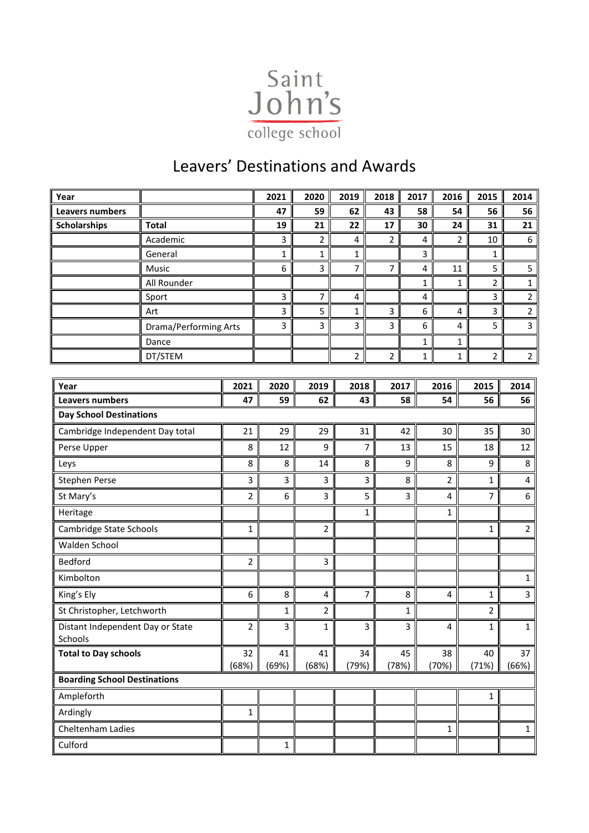

## Leavers' Destinations and Awards

| Year                                        |                       |                         | 2021         | 2020           | 2019           | 2018           | 2017 | 2016           | 2015                           | 2014           |
|---------------------------------------------|-----------------------|-------------------------|--------------|----------------|----------------|----------------|------|----------------|--------------------------------|----------------|
| Leavers numbers                             |                       |                         | 47           | 59             | 62             | 43             | 58   | 54             | 56                             | 56             |
| <b>Scholarships</b>                         | <b>Total</b>          |                         | 19           | 21             | 22             | 17             | 30   | 24             | 31                             | 21             |
|                                             | Academic              |                         | 3            | $\overline{2}$ | 4              | $\overline{2}$ | 4    |                | 2<br>10                        | 6              |
|                                             | General               |                         | 1            | $\mathbf 1$    | $\mathbf{1}$   |                | 3    |                | 1                              |                |
|                                             | Music                 |                         | 6            | 3              | 7              | 7              | 4    | 11             | 5                              | 5              |
|                                             | All Rounder           |                         |              |                |                |                | 1    |                | $\mathbf{1}$<br>$\overline{2}$ | 1              |
|                                             | Sport                 |                         | 3            | $\overline{7}$ | 4              |                | 4    |                | 3                              | $\overline{2}$ |
|                                             | Art                   |                         | 3            | 5              | $\mathbf{1}$   | 3              | 6    |                | 3<br>4                         | $\overline{2}$ |
|                                             | Drama/Performing Arts |                         | 3            | 3              | 3              | 3              | 6    |                | 5<br>4                         | $\overline{3}$ |
|                                             | Dance                 |                         |              |                |                |                | 1    |                | 1                              |                |
|                                             | DT/STEM               |                         |              |                | $\overline{2}$ | $\overline{2}$ | 1    |                | $\overline{2}$<br>$\mathbf{1}$ | $\overline{2}$ |
|                                             |                       |                         |              |                |                |                |      |                |                                |                |
| Year                                        |                       | 2021<br>47              | 2020<br>59   | 2019<br>62     | 2018<br>43     |                | 2017 | 2016           | 2015                           | 2014           |
| <b>Leavers numbers</b>                      |                       |                         |              |                |                | 58             | 54   | 56             | 56                             |                |
| <b>Day School Destinations</b>              |                       | 21                      | 29           | 29             | 31             |                | 42   | 30             | 35                             | 30             |
| Cambridge Independent Day total             |                       | 8                       | 12           | 9              |                | 7              | 13   | 15             | 18                             | 12             |
| Perse Upper<br>Leys                         |                       | 8                       | 8            | 14             |                | 8              | 9    | 8              | 9                              | 8              |
| Stephen Perse                               |                       | 3                       | 3            | 3              |                | 3              | 8    | $\overline{2}$ | 1                              | 4              |
| St Mary's                                   |                       | 2                       | 6            | 3              |                | 5              | 3    | 4              | $\overline{7}$                 | 6              |
| Heritage                                    |                       |                         |              |                |                | $\mathbf 1$    |      | 1              |                                |                |
| Cambridge State Schools                     |                       | 1                       |              | $\overline{2}$ |                |                |      |                | $\mathbf{1}$                   | $\overline{2}$ |
| Walden School                               |                       |                         |              |                |                |                |      |                |                                |                |
| <b>Bedford</b>                              |                       | $\mathbf 2$             |              | 3              |                |                |      |                |                                |                |
| Kimbolton                                   |                       |                         |              |                |                |                |      |                |                                | 1              |
| King's Ely                                  |                       | 6                       | 8            | 4              |                | 7              | 8    | 4              | $\mathbf 1$                    | 3              |
| St Christopher, Letchworth                  |                       |                         | 1            | $\overline{2}$ |                |                | 1    |                | 2                              |                |
| Distant Independent Day or State<br>Schools |                       | $\overline{\mathbf{c}}$ | 3            | $\mathbf 1$    |                | 3              | 3    | 4              | $\mathbf 1$                    | 1              |
| <b>Total to Day schools</b>                 |                       | 32<br>(68%)             | 41<br>(69%)  | 41<br>(68%)    | 34<br>(79%)    | (78%)          | 45   | 38<br>(70%)    | 40<br>(71%)                    | 37<br>(66%)    |
| <b>Boarding School Destinations</b>         |                       |                         |              |                |                |                |      |                |                                |                |
| Ampleforth                                  |                       |                         |              |                |                |                |      |                | $\mathbf 1$                    |                |
| Ardingly                                    |                       | $\mathbf{1}$            |              |                |                |                |      |                |                                |                |
| Cheltenham Ladies                           |                       |                         |              |                |                |                |      | $\mathbf{1}$   |                                | $\mathbf 1$    |
| Culford                                     |                       |                         | $\mathbf{1}$ |                |                |                |      |                |                                |                |